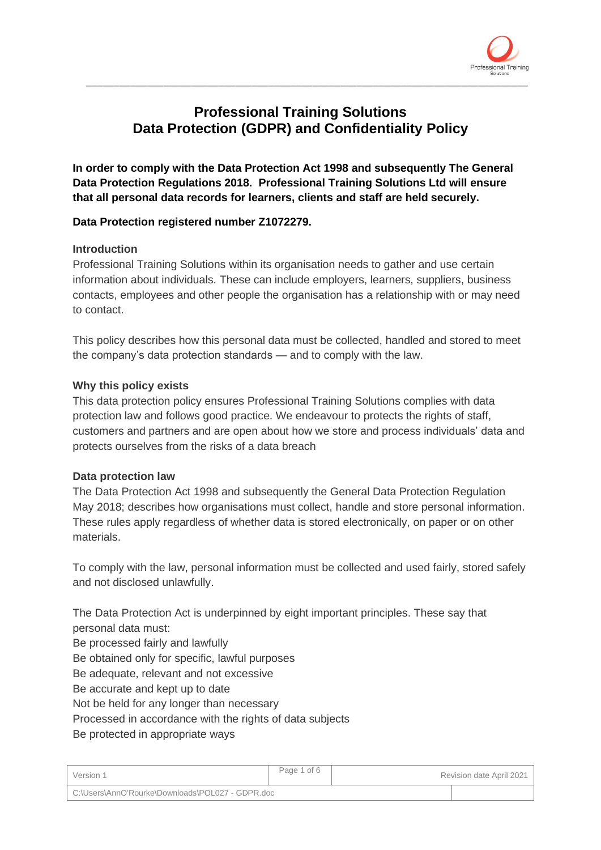

# **Professional Training Solutions Data Protection (GDPR) and Confidentiality Policy**

\_\_\_\_\_\_\_\_\_\_\_\_\_\_\_\_\_\_\_\_\_\_\_\_\_\_\_\_\_\_\_\_\_\_\_\_\_\_\_\_\_\_\_\_\_\_\_\_\_\_\_\_\_\_\_\_\_\_\_\_\_\_\_\_\_\_\_\_\_\_\_\_\_\_\_\_\_\_\_\_

**In order to comply with the Data Protection Act 1998 and subsequently The General Data Protection Regulations 2018. Professional Training Solutions Ltd will ensure that all personal data records for learners, clients and staff are held securely.**

## **Data Protection registered number Z1072279.**

#### **Introduction**

Professional Training Solutions within its organisation needs to gather and use certain information about individuals. These can include employers, learners, suppliers, business contacts, employees and other people the organisation has a relationship with or may need to contact.

This policy describes how this personal data must be collected, handled and stored to meet the company's data protection standards — and to comply with the law.

#### **Why this policy exists**

This data protection policy ensures Professional Training Solutions complies with data protection law and follows good practice. We endeavour to protects the rights of staff, customers and partners and are open about how we store and process individuals' data and protects ourselves from the risks of a data breach

#### **Data protection law**

The Data Protection Act 1998 and subsequently the General Data Protection Regulation May 2018; describes how organisations must collect, handle and store personal information. These rules apply regardless of whether data is stored electronically, on paper or on other materials.

To comply with the law, personal information must be collected and used fairly, stored safely and not disclosed unlawfully.

The Data Protection Act is underpinned by eight important principles. These say that personal data must:

Be processed fairly and lawfully

Be obtained only for specific, lawful purposes

Be adequate, relevant and not excessive

Be accurate and kept up to date

Not be held for any longer than necessary

Processed in accordance with the rights of data subjects

Be protected in appropriate ways

| Version 1                                        | Page 1 of 6 |  | Revision date April 2021 |
|--------------------------------------------------|-------------|--|--------------------------|
| C:\Users\AnnO'Rourke\Downloads\POL027 - GDPR.doc |             |  |                          |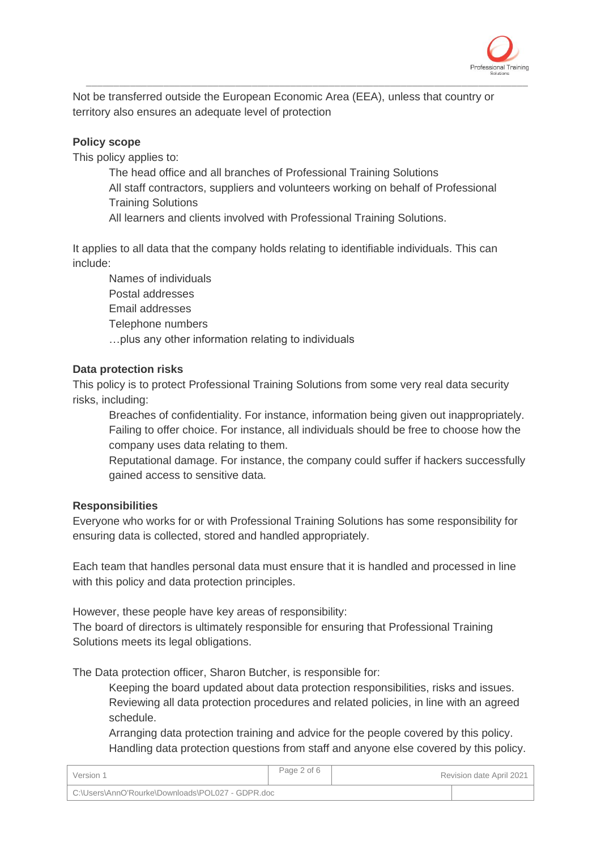

Not be transferred outside the European Economic Area (EEA), unless that country or territory also ensures an adequate level of protection

### **Policy scope**

This policy applies to:

The head office and all branches of Professional Training Solutions All staff contractors, suppliers and volunteers working on behalf of Professional Training Solutions

\_\_\_\_\_\_\_\_\_\_\_\_\_\_\_\_\_\_\_\_\_\_\_\_\_\_\_\_\_\_\_\_\_\_\_\_\_\_\_\_\_\_\_\_\_\_\_\_\_\_\_\_\_\_\_\_\_\_\_\_\_\_\_\_\_\_\_\_\_\_\_\_\_\_\_\_\_\_\_\_

All learners and clients involved with Professional Training Solutions.

It applies to all data that the company holds relating to identifiable individuals. This can include:

Names of individuals Postal addresses Email addresses Telephone numbers …plus any other information relating to individuals

#### **Data protection risks**

This policy is to protect Professional Training Solutions from some very real data security risks, including:

Breaches of confidentiality. For instance, information being given out inappropriately. Failing to offer choice. For instance, all individuals should be free to choose how the company uses data relating to them.

Reputational damage. For instance, the company could suffer if hackers successfully gained access to sensitive data.

#### **Responsibilities**

Everyone who works for or with Professional Training Solutions has some responsibility for ensuring data is collected, stored and handled appropriately.

Each team that handles personal data must ensure that it is handled and processed in line with this policy and data protection principles.

However, these people have key areas of responsibility:

The board of directors is ultimately responsible for ensuring that Professional Training Solutions meets its legal obligations.

The Data protection officer, Sharon Butcher, is responsible for:

Keeping the board updated about data protection responsibilities, risks and issues. Reviewing all data protection procedures and related policies, in line with an agreed schedule.

Arranging data protection training and advice for the people covered by this policy. Handling data protection questions from staff and anyone else covered by this policy.

| Version 1                                        | Page 2 of 6 | Revision date April 2021 |
|--------------------------------------------------|-------------|--------------------------|
| C:\Users\AnnO'Rourke\Downloads\POL027 - GDPR.doc |             |                          |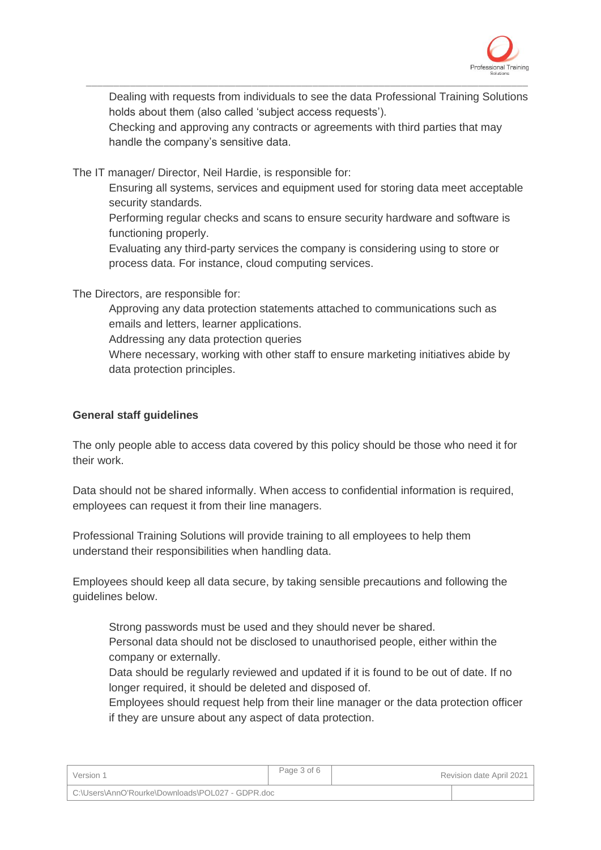

Dealing with requests from individuals to see the data Professional Training Solutions holds about them (also called 'subject access requests').

Checking and approving any contracts or agreements with third parties that may handle the company's sensitive data.

\_\_\_\_\_\_\_\_\_\_\_\_\_\_\_\_\_\_\_\_\_\_\_\_\_\_\_\_\_\_\_\_\_\_\_\_\_\_\_\_\_\_\_\_\_\_\_\_\_\_\_\_\_\_\_\_\_\_\_\_\_\_\_\_\_\_\_\_\_\_\_\_\_\_\_\_\_\_\_\_

The IT manager/ Director, Neil Hardie, is responsible for:

Ensuring all systems, services and equipment used for storing data meet acceptable security standards.

Performing regular checks and scans to ensure security hardware and software is functioning properly.

Evaluating any third-party services the company is considering using to store or process data. For instance, cloud computing services.

The Directors, are responsible for:

Approving any data protection statements attached to communications such as emails and letters, learner applications.

Addressing any data protection queries

Where necessary, working with other staff to ensure marketing initiatives abide by data protection principles.

#### **General staff guidelines**

The only people able to access data covered by this policy should be those who need it for their work.

Data should not be shared informally. When access to confidential information is required, employees can request it from their line managers.

Professional Training Solutions will provide training to all employees to help them understand their responsibilities when handling data.

Employees should keep all data secure, by taking sensible precautions and following the guidelines below.

Strong passwords must be used and they should never be shared.

Personal data should not be disclosed to unauthorised people, either within the company or externally.

Data should be regularly reviewed and updated if it is found to be out of date. If no longer required, it should be deleted and disposed of.

Employees should request help from their line manager or the data protection officer if they are unsure about any aspect of data protection.

| Version 1                                        | Page 3 of 6 |  | Revision date April 2021 |
|--------------------------------------------------|-------------|--|--------------------------|
| C:\Users\AnnO'Rourke\Downloads\POL027 - GDPR.doc |             |  |                          |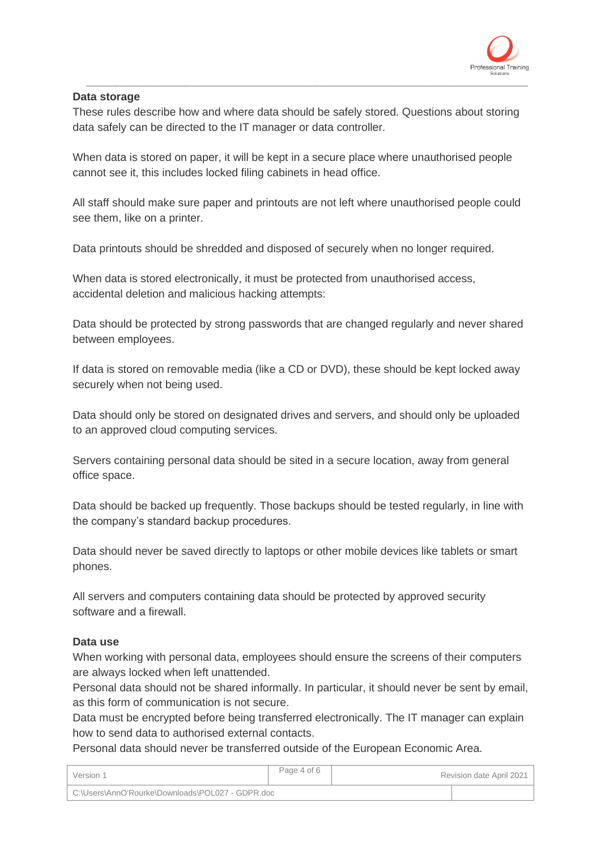

### **Data storage**

These rules describe how and where data should be safely stored. Questions about storing data safely can be directed to the IT manager or data controller.

\_\_\_\_\_\_\_\_\_\_\_\_\_\_\_\_\_\_\_\_\_\_\_\_\_\_\_\_\_\_\_\_\_\_\_\_\_\_\_\_\_\_\_\_\_\_\_\_\_\_\_\_\_\_\_\_\_\_\_\_\_\_\_\_\_\_\_\_\_\_\_\_\_\_\_\_\_\_\_\_

When data is stored on paper, it will be kept in a secure place where unauthorised people cannot see it, this includes locked filing cabinets in head office.

All staff should make sure paper and printouts are not left where unauthorised people could see them, like on a printer.

Data printouts should be shredded and disposed of securely when no longer required.

When data is stored electronically, it must be protected from unauthorised access, accidental deletion and malicious hacking attempts:

Data should be protected by strong passwords that are changed regularly and never shared between employees.

If data is stored on removable media (like a CD or DVD), these should be kept locked away securely when not being used.

Data should only be stored on designated drives and servers, and should only be uploaded to an approved cloud computing services.

Servers containing personal data should be sited in a secure location, away from general office space.

Data should be backed up frequently. Those backups should be tested regularly, in line with the company's standard backup procedures.

Data should never be saved directly to laptops or other mobile devices like tablets or smart phones.

All servers and computers containing data should be protected by approved security software and a firewall.

#### **Data use**

When working with personal data, employees should ensure the screens of their computers are always locked when left unattended.

Personal data should not be shared informally. In particular, it should never be sent by email, as this form of communication is not secure.

Data must be encrypted before being transferred electronically. The IT manager can explain how to send data to authorised external contacts.

Personal data should never be transferred outside of the European Economic Area.

| Version 1                                        | Page 4 of 6 | Revision date April 2021 |
|--------------------------------------------------|-------------|--------------------------|
| C:\Users\AnnO'Rourke\Downloads\POL027 - GDPR.doc |             |                          |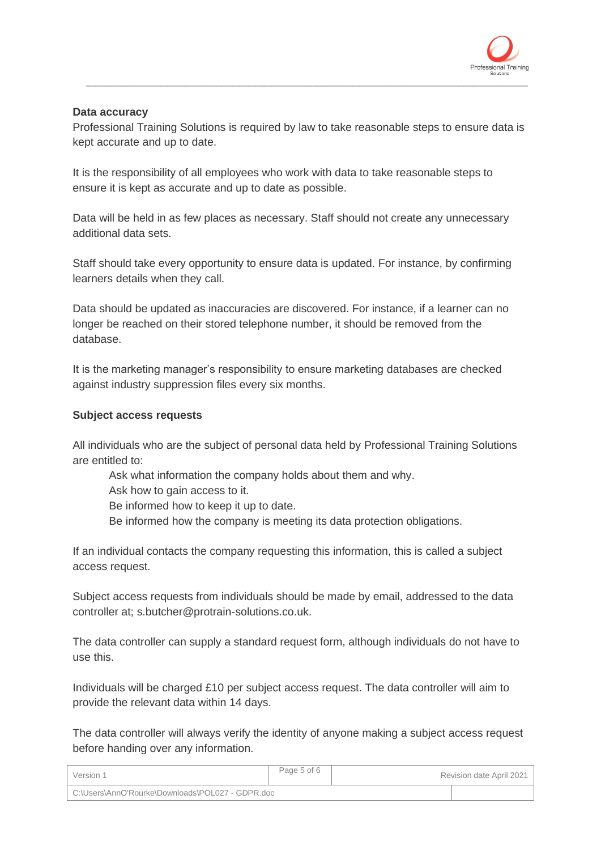

## **Data accuracy**

Professional Training Solutions is required by law to take reasonable steps to ensure data is kept accurate and up to date.

\_\_\_\_\_\_\_\_\_\_\_\_\_\_\_\_\_\_\_\_\_\_\_\_\_\_\_\_\_\_\_\_\_\_\_\_\_\_\_\_\_\_\_\_\_\_\_\_\_\_\_\_\_\_\_\_\_\_\_\_\_\_\_\_\_\_\_\_\_\_\_\_\_\_\_\_\_\_\_\_

It is the responsibility of all employees who work with data to take reasonable steps to ensure it is kept as accurate and up to date as possible.

Data will be held in as few places as necessary. Staff should not create any unnecessary additional data sets.

Staff should take every opportunity to ensure data is updated. For instance, by confirming learners details when they call.

Data should be updated as inaccuracies are discovered. For instance, if a learner can no longer be reached on their stored telephone number, it should be removed from the database.

It is the marketing manager's responsibility to ensure marketing databases are checked against industry suppression files every six months.

#### **Subject access requests**

All individuals who are the subject of personal data held by Professional Training Solutions are entitled to:

Ask what information the company holds about them and why.

Ask how to gain access to it.

Be informed how to keep it up to date.

Be informed how the company is meeting its data protection obligations.

If an individual contacts the company requesting this information, this is called a subject access request.

Subject access requests from individuals should be made by email, addressed to the data controller at; s.butcher@protrain-solutions.co.uk.

The data controller can supply a standard request form, although individuals do not have to use this.

Individuals will be charged £10 per subject access request. The data controller will aim to provide the relevant data within 14 days.

The data controller will always verify the identity of anyone making a subject access request before handing over any information.

| Version 1                                        | Page 5 of 6 | Revision date April 2021 |
|--------------------------------------------------|-------------|--------------------------|
| C:\Users\AnnO'Rourke\Downloads\POL027 - GDPR.doc |             |                          |